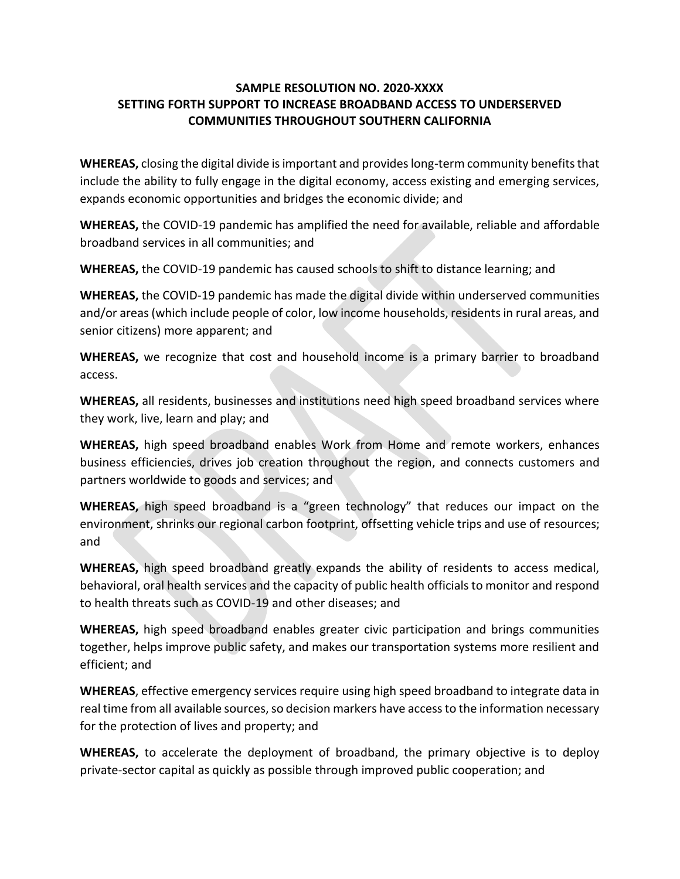# **SAMPLE RESOLUTION NO. 2020-XXXX SETTING FORTH SUPPORT TO INCREASE BROADBAND ACCESS TO UNDERSERVED COMMUNITIES THROUGHOUT SOUTHERN CALIFORNIA**

**WHEREAS,** closing the digital divide is important and provides long-term community benefits that include the ability to fully engage in the digital economy, access existing and emerging services, expands economic opportunities and bridges the economic divide; and

**WHEREAS,** the COVID-19 pandemic has amplified the need for available, reliable and affordable broadband services in all communities; and

**WHEREAS,** the COVID-19 pandemic has caused schools to shift to distance learning; and

**WHEREAS,** the COVID-19 pandemic has made the digital divide within underserved communities and/or areas (which include people of color, low income households, residents in rural areas, and senior citizens) more apparent; and

**WHEREAS,** we recognize that cost and household income is a primary barrier to broadband access.

**WHEREAS,** all residents, businesses and institutions need high speed broadband services where they work, live, learn and play; and

**WHEREAS,** high speed broadband enables Work from Home and remote workers, enhances business efficiencies, drives job creation throughout the region, and connects customers and partners worldwide to goods and services; and

**WHEREAS,** high speed broadband is a "green technology" that reduces our impact on the environment, shrinks our regional carbon footprint, offsetting vehicle trips and use of resources; and

**WHEREAS,** high speed broadband greatly expands the ability of residents to access medical, behavioral, oral health services and the capacity of public health officials to monitor and respond to health threats such as COVID-19 and other diseases; and

**WHEREAS,** high speed broadband enables greater civic participation and brings communities together, helps improve public safety, and makes our transportation systems more resilient and efficient; and

**WHEREAS**, effective emergency services require using high speed broadband to integrate data in real time from all available sources, so decision markers have access to the information necessary for the protection of lives and property; and

**WHEREAS,** to accelerate the deployment of broadband, the primary objective is to deploy private-sector capital as quickly as possible through improved public cooperation; and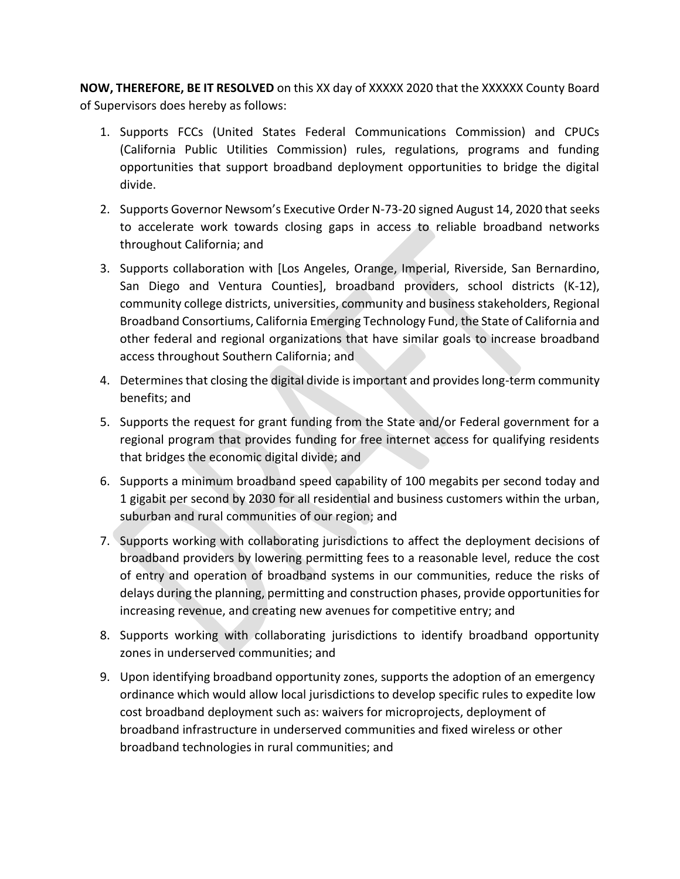**NOW, THEREFORE, BE IT RESOLVED** on this XX day of XXXXX 2020 that the XXXXXX County Board of Supervisors does hereby as follows:

- 1. Supports FCCs (United States Federal Communications Commission) and CPUCs (California Public Utilities Commission) rules, regulations, programs and funding opportunities that support broadband deployment opportunities to bridge the digital divide.
- 2. Supports Governor Newsom's Executive Order N-73-20 signed August 14, 2020 that seeks to accelerate work towards closing gaps in access to reliable broadband networks throughout California; and
- 3. Supports collaboration with [Los Angeles, Orange, Imperial, Riverside, San Bernardino, San Diego and Ventura Counties], broadband providers, school districts (K-12), community college districts, universities, community and business stakeholders, Regional Broadband Consortiums, California Emerging Technology Fund, the State of California and other federal and regional organizations that have similar goals to increase broadband access throughout Southern California; and
- 4. Determinesthat closing the digital divide is important and provides long-term community benefits; and
- 5. Supports the request for grant funding from the State and/or Federal government for a regional program that provides funding for free internet access for qualifying residents that bridges the economic digital divide; and
- 6. Supports a minimum broadband speed capability of 100 megabits per second today and 1 gigabit per second by 2030 for all residential and business customers within the urban, suburban and rural communities of our region; and
- 7. Supports working with collaborating jurisdictions to affect the deployment decisions of broadband providers by lowering permitting fees to a reasonable level, reduce the cost of entry and operation of broadband systems in our communities, reduce the risks of delays during the planning, permitting and construction phases, provide opportunities for increasing revenue, and creating new avenues for competitive entry; and
- 8. Supports working with collaborating jurisdictions to identify broadband opportunity zones in underserved communities; and
- 9. Upon identifying broadband opportunity zones, supports the adoption of an emergency ordinance which would allow local jurisdictions to develop specific rules to expedite low cost broadband deployment such as: waivers for microprojects, deployment of broadband infrastructure in underserved communities and fixed wireless or other broadband technologies in rural communities; and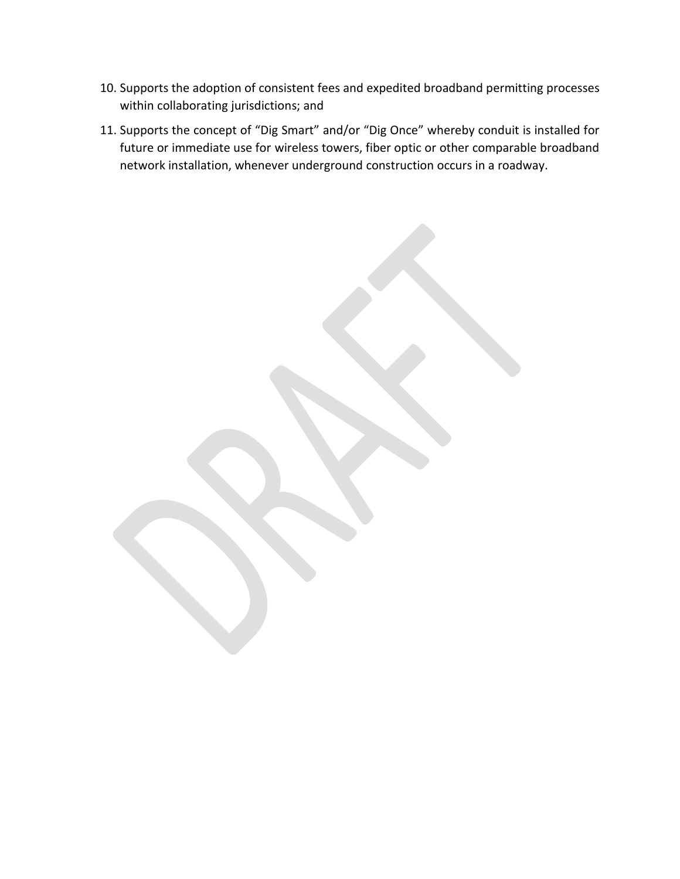- 10. Supports the adoption of consistent fees and expedited broadband permitting processes within collaborating jurisdictions; and
- 11. Supports the concept of "Dig Smart" and/or "Dig Once" whereby conduit is installed for future or immediate use for wireless towers, fiber optic or other comparable broadband network installation, whenever underground construction occurs in a roadway.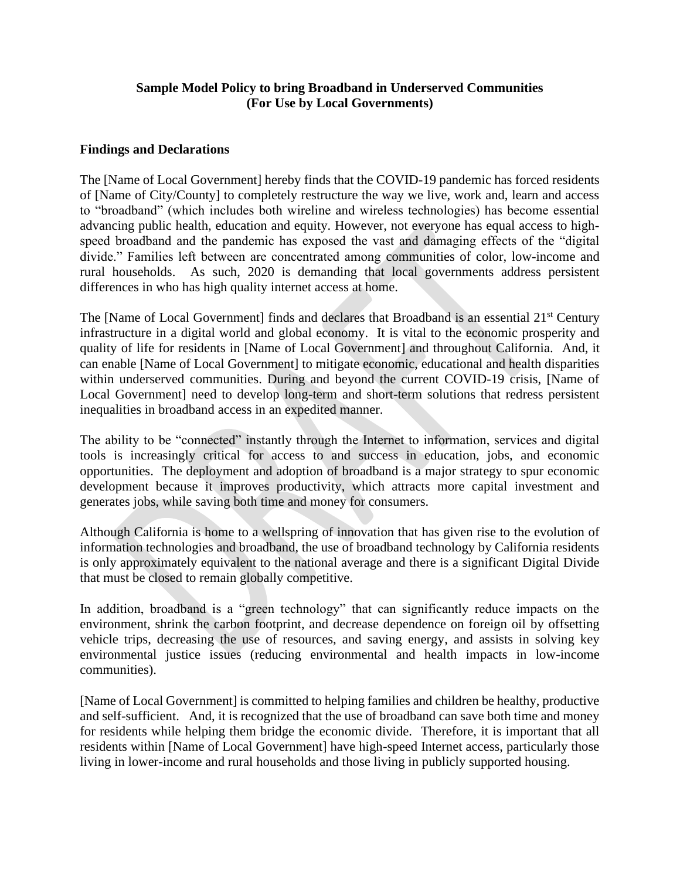### **Sample Model Policy to bring Broadband in Underserved Communities (For Use by Local Governments)**

### **Findings and Declarations**

The [Name of Local Government] hereby finds that the COVID-19 pandemic has forced residents of [Name of City/County] to completely restructure the way we live, work and, learn and access to "broadband" (which includes both wireline and wireless technologies) has become essential advancing public health, education and equity. However, not everyone has equal access to highspeed broadband and the pandemic has exposed the vast and damaging effects of the "digital divide." Families left between are concentrated among communities of color, low-income and rural households. As such, 2020 is demanding that local governments address persistent differences in who has high quality internet access at home.

The [Name of Local Government] finds and declares that Broadband is an essential 21<sup>st</sup> Century infrastructure in a digital world and global economy. It is vital to the economic prosperity and quality of life for residents in [Name of Local Government] and throughout California. And, it can enable [Name of Local Government] to mitigate economic, educational and health disparities within underserved communities. During and beyond the current COVID-19 crisis, [Name of Local Government] need to develop long-term and short-term solutions that redress persistent inequalities in broadband access in an expedited manner.

The ability to be "connected" instantly through the Internet to information, services and digital tools is increasingly critical for access to and success in education, jobs, and economic opportunities. The deployment and adoption of broadband is a major strategy to spur economic development because it improves productivity, which attracts more capital investment and generates jobs, while saving both time and money for consumers.

Although California is home to a wellspring of innovation that has given rise to the evolution of information technologies and broadband, the use of broadband technology by California residents is only approximately equivalent to the national average and there is a significant Digital Divide that must be closed to remain globally competitive.

In addition, broadband is a "green technology" that can significantly reduce impacts on the environment, shrink the carbon footprint, and decrease dependence on foreign oil by offsetting vehicle trips, decreasing the use of resources, and saving energy, and assists in solving key environmental justice issues (reducing environmental and health impacts in low-income communities).

[Name of Local Government] is committed to helping families and children be healthy, productive and self-sufficient. And, it is recognized that the use of broadband can save both time and money for residents while helping them bridge the economic divide. Therefore, it is important that all residents within [Name of Local Government] have high-speed Internet access, particularly those living in lower-income and rural households and those living in publicly supported housing.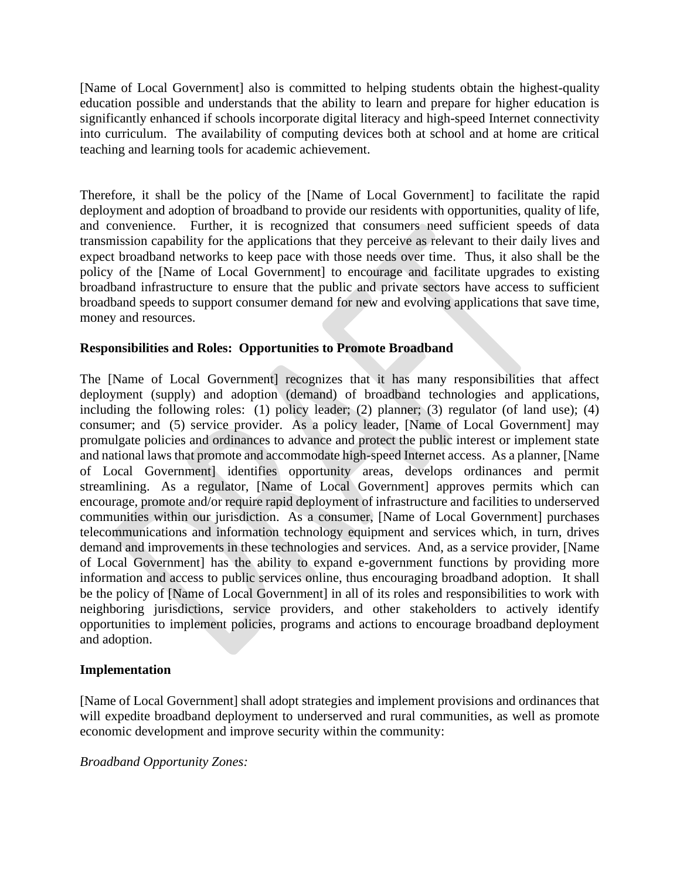[Name of Local Government] also is committed to helping students obtain the highest-quality education possible and understands that the ability to learn and prepare for higher education is significantly enhanced if schools incorporate digital literacy and high-speed Internet connectivity into curriculum. The availability of computing devices both at school and at home are critical teaching and learning tools for academic achievement.

Therefore, it shall be the policy of the [Name of Local Government] to facilitate the rapid deployment and adoption of broadband to provide our residents with opportunities, quality of life, and convenience. Further, it is recognized that consumers need sufficient speeds of data transmission capability for the applications that they perceive as relevant to their daily lives and expect broadband networks to keep pace with those needs over time. Thus, it also shall be the policy of the [Name of Local Government] to encourage and facilitate upgrades to existing broadband infrastructure to ensure that the public and private sectors have access to sufficient broadband speeds to support consumer demand for new and evolving applications that save time, money and resources.

# **Responsibilities and Roles: Opportunities to Promote Broadband**

The [Name of Local Government] recognizes that it has many responsibilities that affect deployment (supply) and adoption (demand) of broadband technologies and applications, including the following roles: (1) policy leader; (2) planner; (3) regulator (of land use); (4) consumer; and (5) service provider. As a policy leader, [Name of Local Government] may promulgate policies and ordinances to advance and protect the public interest or implement state and national laws that promote and accommodate high-speed Internet access. As a planner, [Name of Local Government] identifies opportunity areas, develops ordinances and permit streamlining. As a regulator, [Name of Local Government] approves permits which can encourage, promote and/or require rapid deployment of infrastructure and facilities to underserved communities within our jurisdiction. As a consumer, [Name of Local Government] purchases telecommunications and information technology equipment and services which, in turn, drives demand and improvements in these technologies and services. And, as a service provider, [Name of Local Government] has the ability to expand e-government functions by providing more information and access to public services online, thus encouraging broadband adoption. It shall be the policy of [Name of Local Government] in all of its roles and responsibilities to work with neighboring jurisdictions, service providers, and other stakeholders to actively identify opportunities to implement policies, programs and actions to encourage broadband deployment and adoption.

### **Implementation**

[Name of Local Government] shall adopt strategies and implement provisions and ordinances that will expedite broadband deployment to underserved and rural communities, as well as promote economic development and improve security within the community:

### *Broadband Opportunity Zones:*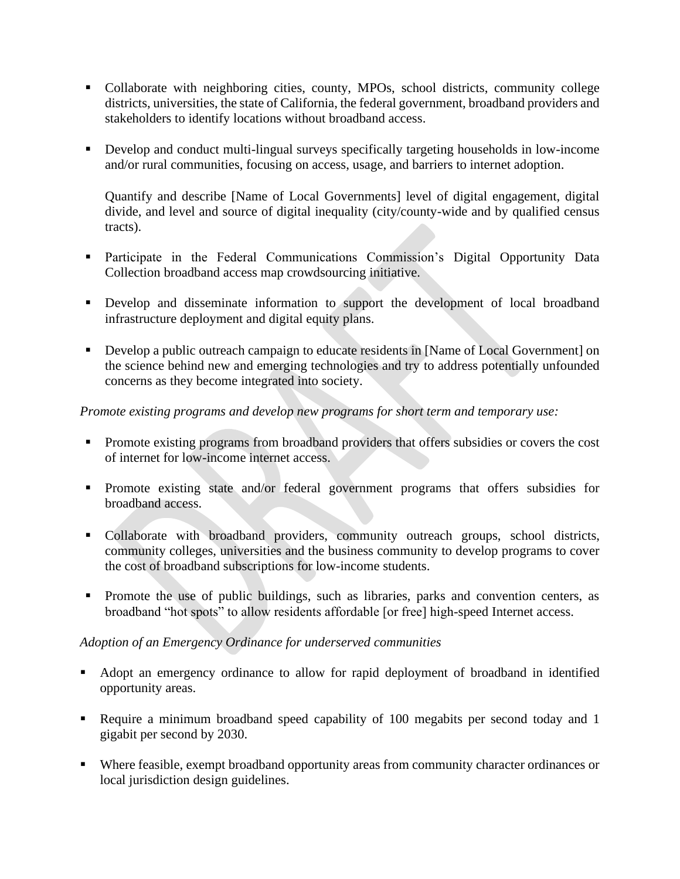- Collaborate with neighboring cities, county, MPOs, school districts, community college districts, universities, the state of California, the federal government, broadband providers and stakeholders to identify locations without broadband access.
- Develop and conduct multi-lingual surveys specifically targeting households in low-income and/or rural communities, focusing on access, usage, and barriers to internet adoption.

Quantify and describe [Name of Local Governments] level of digital engagement, digital divide, and level and source of digital inequality (city/county-wide and by qualified census tracts).

- **•** Participate in the Federal Communications Commission's Digital Opportunity Data Collection broadband access map crowdsourcing initiative.
- **•** Develop and disseminate information to support the development of local broadband infrastructure deployment and digital equity plans.
- Develop a public outreach campaign to educate residents in [Name of Local Government] on the science behind new and emerging technologies and try to address potentially unfounded concerns as they become integrated into society.

### *Promote existing programs and develop new programs for short term and temporary use:*

- Promote existing programs from broadband providers that offers subsidies or covers the cost of internet for low-income internet access.
- **•** Promote existing state and/or federal government programs that offers subsidies for broadband access.
- Collaborate with broadband providers, community outreach groups, school districts, community colleges, universities and the business community to develop programs to cover the cost of broadband subscriptions for low-income students.
- Promote the use of public buildings, such as libraries, parks and convention centers, as broadband "hot spots" to allow residents affordable [or free] high-speed Internet access.

# *Adoption of an Emergency Ordinance for underserved communities*

- Adopt an emergency ordinance to allow for rapid deployment of broadband in identified opportunity areas.
- Require a minimum broadband speed capability of 100 megabits per second today and 1 gigabit per second by 2030.
- Where feasible, exempt broadband opportunity areas from community character ordinances or local jurisdiction design guidelines.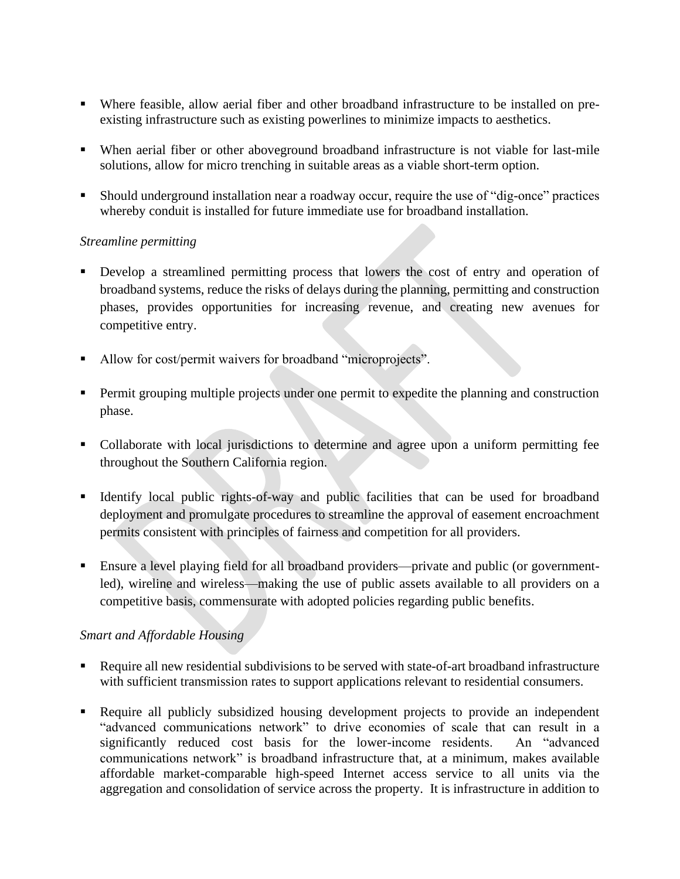- Where feasible, allow aerial fiber and other broadband infrastructure to be installed on preexisting infrastructure such as existing powerlines to minimize impacts to aesthetics.
- When aerial fiber or other aboveground broadband infrastructure is not viable for last-mile solutions, allow for micro trenching in suitable areas as a viable short-term option.
- Should underground installation near a roadway occur, require the use of "dig-once" practices whereby conduit is installed for future immediate use for broadband installation.

# *Streamline permitting*

- Develop a streamlined permitting process that lowers the cost of entry and operation of broadband systems, reduce the risks of delays during the planning, permitting and construction phases, provides opportunities for increasing revenue, and creating new avenues for competitive entry.
- Allow for cost/permit waivers for broadband "microprojects".
- **•** Permit grouping multiple projects under one permit to expedite the planning and construction phase.
- Collaborate with local jurisdictions to determine and agree upon a uniform permitting fee throughout the Southern California region.
- Identify local public rights-of-way and public facilities that can be used for broadband deployment and promulgate procedures to streamline the approval of easement encroachment permits consistent with principles of fairness and competition for all providers.
- Ensure a level playing field for all broadband providers—private and public (or governmentled), wireline and wireless—making the use of public assets available to all providers on a competitive basis, commensurate with adopted policies regarding public benefits.

# *Smart and Affordable Housing*

- Require all new residential subdivisions to be served with state-of-art broadband infrastructure with sufficient transmission rates to support applications relevant to residential consumers.
- Require all publicly subsidized housing development projects to provide an independent "advanced communications network" to drive economies of scale that can result in a significantly reduced cost basis for the lower-income residents. An "advanced communications network" is broadband infrastructure that, at a minimum, makes available affordable market-comparable high-speed Internet access service to all units via the aggregation and consolidation of service across the property. It is infrastructure in addition to